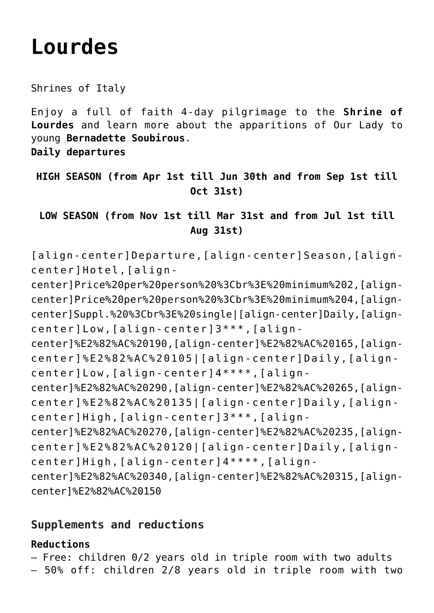# **[Lourdes](https://rusconiviaggi.com/tour-item/private-pilgrimage-to-lourdes-4-days/)**

Shrines of Italy

Enjoy a full of faith 4-day pilgrimage to the **Shrine of Lourdes** and learn more about the apparitions of Our Lady to young **Bernadette Soubirous**.

**Daily departures**

## **HIGH SEASON (from Apr 1st till Jun 30th and from Sep 1st till Oct 31st)**

**LOW SEASON (from Nov 1st till Mar 31st and from Jul 1st till Aug 31st)**

[align-center]Departure,[align-center]Season,[aligncenter]Hotel,[align-

center]Price%20per%20person%20%3Cbr%3E%20minimum%202,[aligncenter]Price%20per%20person%20%3Cbr%3E%20minimum%204,[aligncenter]Suppl.%20%3Cbr%3E%20single|[align-center]Daily,[aligncenter]Low,[align-center]3\*\*\*,[align-

center]%E2%82%AC%20190,[align-center]%E2%82%AC%20165,[aligncenter]%E2%82%AC%20105|[align-center]Daily,[aligncenter]Low,[align-center]4\*\*\*\*,[align-

center]%E2%82%AC%20290,[align-center]%E2%82%AC%20265,[aligncenter]%E2%82%AC%20135|[align-center]Daily,[aligncenter]High,[align-center]3\*\*\*,[align-

center]%E2%82%AC%20270,[align-center]%E2%82%AC%20235,[aligncenter]%E2%82%AC%20120|[align-center]Daily,[aligncenter]High,[align-center]4\*\*\*\*,[align-

center]%E2%82%AC%20340,[align-center]%E2%82%AC%20315,[aligncenter]%E2%82%AC%20150

## **Supplements and reductions**

### **Reductions**

– Free: children 0/2 years old in triple room with two adults

– 50% off: children 2/8 years old in triple room with two